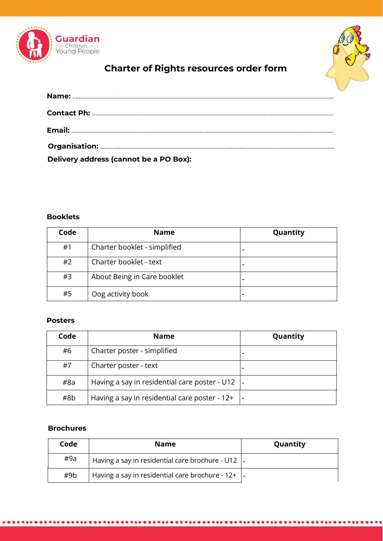



# **Charter of Rights resources order form**

| Delivery address (cannot be a PO Box): |  |
|----------------------------------------|--|

# **Booklets**

| Code | <b>Name</b>                  | Quantity |
|------|------------------------------|----------|
| #1   | Charter booklet - simplified |          |
| #2   | Charter booklet - text       |          |
| #3   | About Being in Care booklet  |          |
| #5   | Oog activity book            |          |

### **Posters**

| Code | <b>Name</b>                                   | Quantity |
|------|-----------------------------------------------|----------|
| #6   | Charter poster - simplified                   |          |
| #7   | Charter poster - text                         |          |
| #8a  | Having a say in residential care poster - U12 |          |
| #8b  | Having a say in residential care poster - 12+ |          |

## **Brochures**

| Code | <b>Name</b>                                               | Quantity |
|------|-----------------------------------------------------------|----------|
| #9a  | Having a say in residential care brochure - U12 $\vert$ - |          |
| #9b  | Having a say in residential care brochure - $12+$  -      |          |

.................